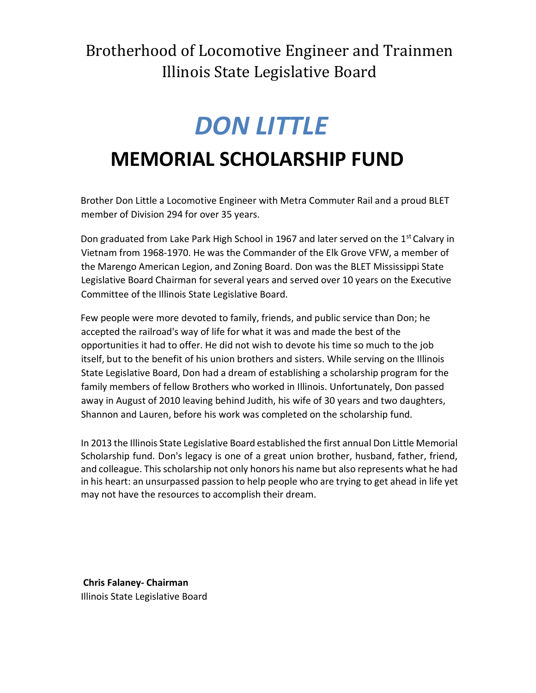Brotherhood of Locomotive Engineer and Trainmen Illinois State Legislative Board

# *DON LITTLE* **MEMORIAL SCHOLARSHIP FUND**

Brother Don Little a Locomotive Engineer with Metra Commuter Rail and a proud BLET member of Division 294 for over 35 years.

Don graduated from Lake Park High School in 1967 and later served on the 1<sup>st</sup> Calvary in Vietnam from 1968-1970. He was the Commander of the Elk Grove VFW, a member of the Marengo American Legion, and Zoning Board. Don was the BLET Mississippi State Legislative Board Chairman for several years and served over 10 years on the Executive Committee of the Illinois State Legislative Board.

Few people were more devoted to family, friends, and public service than Don; he accepted the railroad's way of life for what it was and made the best of the opportunities it had to offer. He did not wish to devote his time so much to the job itself, but to the benefit of his union brothers and sisters. While serving on the Illinois State Legislative Board, Don had a dream of establishing a scholarship program for the family members of fellow Brothers who worked in Illinois. Unfortunately, Don passed away in August of 2010 leaving behind Judith, his wife of 30 years and two daughters, Shannon and Lauren, before his work was completed on the scholarship fund.

In 2013 the Illinois State Legislative Board established the first annual Don Little Memorial Scholarship fund. Don's legacy is one of a great union brother, husband, father, friend, and colleague. This scholarship not only honors his name but also represents what he had in his heart: an unsurpassed passion to help people who are trying to get ahead in life yet may not have the resources to accomplish their dream.

**Chris Falaney- Chairman** Illinois State Legislative Board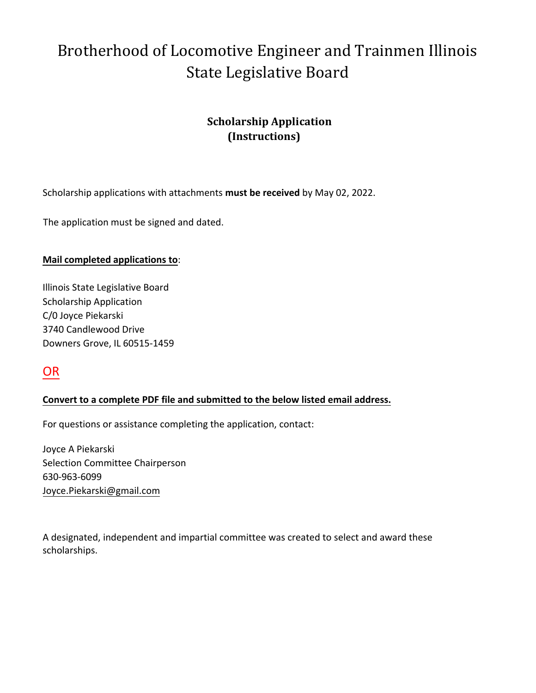# Brotherhood of Locomotive Engineer and Trainmen Illinois State Legislative Board

### **Scholarship Application (Instructions)**

Scholarship applications with attachments **must be received** by May 02, 2022.

The application must be signed and dated.

#### **Mail completed applications to**:

Illinois State Legislative Board Scholarship Application C/0 Joyce Piekarski 3740 Candlewood Drive Downers Grove, IL 60515-1459

### OR

### **Convert to a complete PDF file and submitted to the below listed email address.**

For questions or assistance completing the application, contact:

Joyce A Piekarski Selection Committee Chairperson 630-963-6099 Joyce.Piekarski@gmail.com

A designated, independent and impartial committee was created to select and award these scholarships.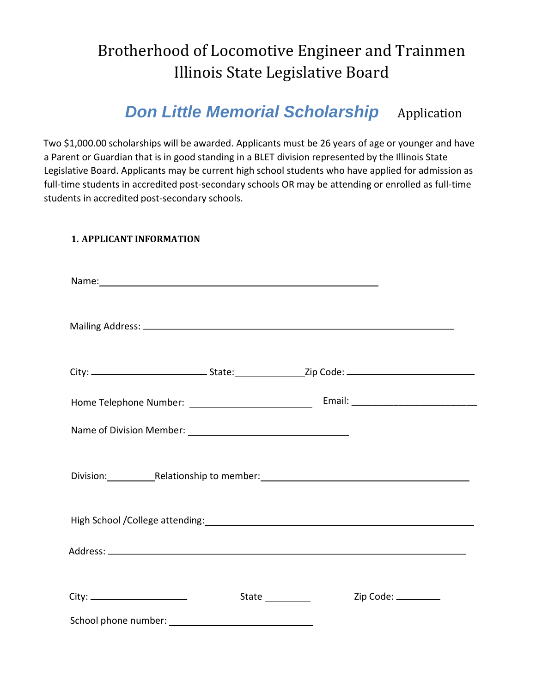## Brotherhood of Locomotive Engineer and Trainmen Illinois State Legislative Board

### *Don Little Memorial Scholarship* Application

Two \$1,000.00 scholarships will be awarded. Applicants must be 26 years of age or younger and have a Parent or Guardian that is in good standing in a BLET division represented by the Illinois State Legislative Board. Applicants may be current high school students who have applied for admission as full-time students in accredited post-secondary schools OR may be attending or enrolled as full-time students in accredited post-secondary schools.

#### **1. APPLICANT INFORMATION**

| Name: Name: Name: Name: Name: Name: Name: Name: Name: Name: Name: Name: Name: Name: Name: Name: Name: Name: Name: Name: Name: Name: Name: Name: Name: Name: Name: Name: Name: Name: Name: Name: Name: Name: Name: Name: Name: |                                                                                                               |  |
|-------------------------------------------------------------------------------------------------------------------------------------------------------------------------------------------------------------------------------|---------------------------------------------------------------------------------------------------------------|--|
|                                                                                                                                                                                                                               |                                                                                                               |  |
|                                                                                                                                                                                                                               |                                                                                                               |  |
|                                                                                                                                                                                                                               |                                                                                                               |  |
|                                                                                                                                                                                                                               |                                                                                                               |  |
|                                                                                                                                                                                                                               | Division: Relationship to member: Manual Allen Manual Allen Manual Allen Manual Allen Manual Allen Manual All |  |
|                                                                                                                                                                                                                               |                                                                                                               |  |
|                                                                                                                                                                                                                               |                                                                                                               |  |
|                                                                                                                                                                                                                               | State ___________<br>Zip Code: ________                                                                       |  |